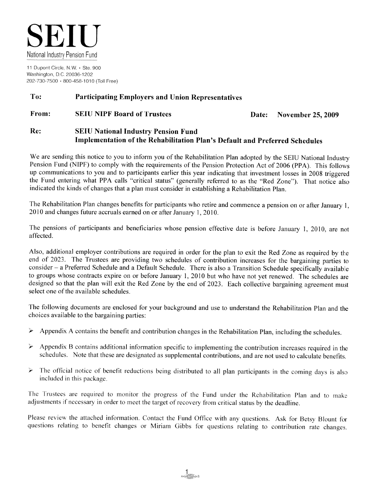

11 Dupont Circle, N.W. · Ste. 900 Washington, D.C. 20036-1202 202-730-7500 · 800-458-1010 (Toll Free)

#### To: **Participating Employers and Union Representatives**

#### From: **SEIU NIPF Board of Trustees** Date: November 25, 2009

#### Re: **SEIU National Industry Pension Fund** Implementation of the Rehabilitation Plan's Default and Preferred Schedules

We are sending this notice to you to inform you of the Rehabilitation Plan adopted by the SEIU National Industry Pension Fund (NIPF) to comply with the requirements of the Pension Protection Act of 2006 (PPA). This follows up communications to you and to participants earlier this year indicating that investment losses in 2008 triggered the Fund entering what PPA calls "critical status" (generally referred to as the "Red Zone"). That notice also indicated the kinds of changes that a plan must consider in establishing a Rehabilitation Plan.

The Rehabilitation Plan changes benefits for participants who retire and commence a pension on or after January 1, 2010 and changes future accruals earned on or after January 1, 2010.

The pensions of participants and beneficiaries whose pension effective date is before January 1, 2010, are not affected.

Also, additional employer contributions are required in order for the plan to exit the Red Zone as required by the end of 2023. The Trustees are providing two schedules of contribution increases for the bargaining parties to consider – a Preferred Schedule and a Default Schedule. There is also a Transition Schedule specifically available to groups whose contracts expire on or before January 1, 2010 but who have not yet renewed. The schedules are designed so that the plan will exit the Red Zone by the end of 2023. Each collective bargaining agreement must select one of the available schedules

The following documents are enclosed for your background and use to understand the Rehabilitation Plan and the choices available to the bargaining parties:

- Appendix A contains the benefit and contribution changes in the Rehabilitation Plan, including the schedules.  $\blacktriangleright$
- Appendix B contains additional information specific to implementing the contribution increases required in the ≻ schedules. Note that these are designated as supplemental contributions, and are not used to calculate benefits.
- The official notice of benefit reductions being distributed to all plan participants in the coming days is also ↘ included in this package.

The Trustees are required to monitor the progress of the Fund under the Rehabilitation Plan and to make adjustments if necessary in order to meet the target of recovery from critical status by the deadline.

Please review the attached information. Contact the Fund Office with any questions. Ask for Betsy Blount for questions relating to benefit changes or Miriam Gibbs for questions relating to contribution rate changes.

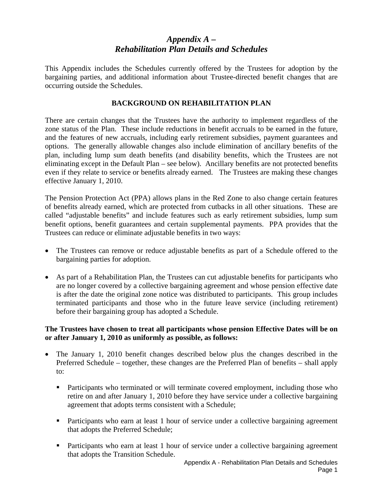# *Appendix A – Rehabilitation Plan Details and Schedules*

This Appendix includes the Schedules currently offered by the Trustees for adoption by the bargaining parties, and additional information about Trustee-directed benefit changes that are occurring outside the Schedules.

#### **BACKGROUND ON REHABILITATION PLAN**

There are certain changes that the Trustees have the authority to implement regardless of the zone status of the Plan. These include reductions in benefit accruals to be earned in the future, and the features of new accruals, including early retirement subsidies, payment guarantees and options. The generally allowable changes also include elimination of ancillary benefits of the plan, including lump sum death benefits (and disability benefits, which the Trustees are not eliminating except in the Default Plan – see below). Ancillary benefits are not protected benefits even if they relate to service or benefits already earned. The Trustees are making these changes effective January 1, 2010.

The Pension Protection Act (PPA) allows plans in the Red Zone to also change certain features of benefits already earned, which are protected from cutbacks in all other situations. These are called "adjustable benefits" and include features such as early retirement subsidies, lump sum benefit options, benefit guarantees and certain supplemental payments. PPA provides that the Trustees can reduce or eliminate adjustable benefits in two ways:

- The Trustees can remove or reduce adjustable benefits as part of a Schedule offered to the bargaining parties for adoption.
- As part of a Rehabilitation Plan, the Trustees can cut adjustable benefits for participants who are no longer covered by a collective bargaining agreement and whose pension effective date is after the date the original zone notice was distributed to participants. This group includes terminated participants and those who in the future leave service (including retirement) before their bargaining group has adopted a Schedule.

#### **The Trustees have chosen to treat all participants whose pension Effective Dates will be on or after January 1, 2010 as uniformly as possible, as follows:**

- The January 1, 2010 benefit changes described below plus the changes described in the Preferred Schedule – together, these changes are the Preferred Plan of benefits – shall apply to:
	- **Participants who terminated or will terminate covered employment, including those who** retire on and after January 1, 2010 before they have service under a collective bargaining agreement that adopts terms consistent with a Schedule;
	- Participants who earn at least 1 hour of service under a collective bargaining agreement that adopts the Preferred Schedule;
	- Participants who earn at least 1 hour of service under a collective bargaining agreement that adopts the Transition Schedule.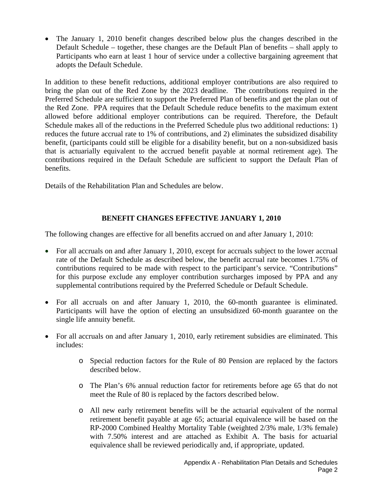• The January 1, 2010 benefit changes described below plus the changes described in the Default Schedule – together, these changes are the Default Plan of benefits – shall apply to Participants who earn at least 1 hour of service under a collective bargaining agreement that adopts the Default Schedule.

In addition to these benefit reductions, additional employer contributions are also required to bring the plan out of the Red Zone by the 2023 deadline. The contributions required in the Preferred Schedule are sufficient to support the Preferred Plan of benefits and get the plan out of the Red Zone. PPA requires that the Default Schedule reduce benefits to the maximum extent allowed before additional employer contributions can be required. Therefore, the Default Schedule makes all of the reductions in the Preferred Schedule plus two additional reductions: 1) reduces the future accrual rate to 1% of contributions, and 2) eliminates the subsidized disability benefit, (participants could still be eligible for a disability benefit, but on a non-subsidized basis that is actuarially equivalent to the accrued benefit payable at normal retirement age). The contributions required in the Default Schedule are sufficient to support the Default Plan of benefits.

Details of the Rehabilitation Plan and Schedules are below.

## **BENEFIT CHANGES EFFECTIVE JANUARY 1, 2010**

The following changes are effective for all benefits accrued on and after January 1, 2010:

- For all accruals on and after January 1, 2010, except for accruals subject to the lower accrual rate of the Default Schedule as described below, the benefit accrual rate becomes 1.75% of contributions required to be made with respect to the participant's service. "Contributions" for this purpose exclude any employer contribution surcharges imposed by PPA and any supplemental contributions required by the Preferred Schedule or Default Schedule.
- For all accruals on and after January 1, 2010, the 60-month guarantee is eliminated. Participants will have the option of electing an unsubsidized 60-month guarantee on the single life annuity benefit.
- For all accruals on and after January 1, 2010, early retirement subsidies are eliminated. This includes:
	- o Special reduction factors for the Rule of 80 Pension are replaced by the factors described below.
	- o The Plan's 6% annual reduction factor for retirements before age 65 that do not meet the Rule of 80 is replaced by the factors described below.
	- o All new early retirement benefits will be the actuarial equivalent of the normal retirement benefit payable at age 65; actuarial equivalence will be based on the RP-2000 Combined Healthy Mortality Table (weighted 2/3% male, 1/3% female) with 7.50% interest and are attached as Exhibit A. The basis for actuarial equivalence shall be reviewed periodically and, if appropriate, updated.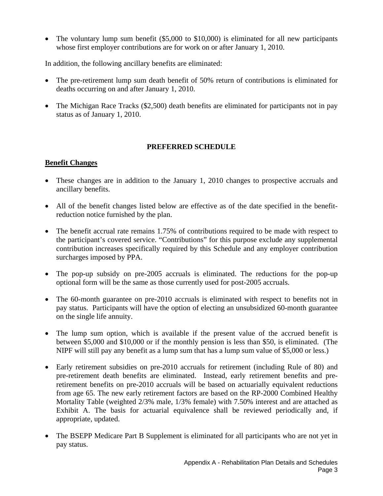• The voluntary lump sum benefit (\$5,000 to \$10,000) is eliminated for all new participants whose first employer contributions are for work on or after January 1, 2010.

In addition, the following ancillary benefits are eliminated:

- The pre-retirement lump sum death benefit of 50% return of contributions is eliminated for deaths occurring on and after January 1, 2010.
- The Michigan Race Tracks (\$2,500) death benefits are eliminated for participants not in pay status as of January 1, 2010.

#### **PREFERRED SCHEDULE**

#### **Benefit Changes**

- These changes are in addition to the January 1, 2010 changes to prospective accruals and ancillary benefits.
- All of the benefit changes listed below are effective as of the date specified in the benefitreduction notice furnished by the plan.
- The benefit accrual rate remains 1.75% of contributions required to be made with respect to the participant's covered service. "Contributions" for this purpose exclude any supplemental contribution increases specifically required by this Schedule and any employer contribution surcharges imposed by PPA.
- The pop-up subsidy on pre-2005 accruals is eliminated. The reductions for the pop-up optional form will be the same as those currently used for post-2005 accruals.
- The 60-month guarantee on pre-2010 accruals is eliminated with respect to benefits not in pay status. Participants will have the option of electing an unsubsidized 60-month guarantee on the single life annuity.
- The lump sum option, which is available if the present value of the accrued benefit is between \$5,000 and \$10,000 or if the monthly pension is less than \$50, is eliminated. (The NIPF will still pay any benefit as a lump sum that has a lump sum value of \$5,000 or less.)
- Early retirement subsidies on pre-2010 accruals for retirement (including Rule of 80) and pre-retirement death benefits are eliminated. Instead, early retirement benefits and preretirement benefits on pre-2010 accruals will be based on actuarially equivalent reductions from age 65. The new early retirement factors are based on the RP-2000 Combined Healthy Mortality Table (weighted 2/3% male, 1/3% female) with 7.50% interest and are attached as Exhibit A. The basis for actuarial equivalence shall be reviewed periodically and, if appropriate, updated.
- The BSEPP Medicare Part B Supplement is eliminated for all participants who are not yet in pay status.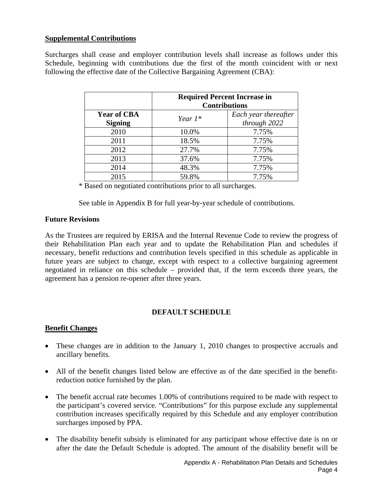#### **Supplemental Contributions**

Surcharges shall cease and employer contribution levels shall increase as follows under this Schedule, beginning with contributions due the first of the month coincident with or next following the effective date of the Collective Bargaining Agreement (CBA):

|                                      | <b>Required Percent Increase in</b><br><b>Contributions</b> |                                      |  |
|--------------------------------------|-------------------------------------------------------------|--------------------------------------|--|
| <b>Year of CBA</b><br><b>Signing</b> | Year $1^*$                                                  | Each year thereafter<br>through 2022 |  |
| 2010                                 | 10.0%                                                       | 7.75%                                |  |
| 2011                                 | 18.5%                                                       | 7.75%                                |  |
| 2012                                 | 27.7%                                                       | 7.75%                                |  |
| 2013                                 | 37.6%                                                       | 7.75%                                |  |
| 2014                                 | 48.3%                                                       | 7.75%                                |  |
| 2015                                 | 59.8%                                                       | 7.75%                                |  |

\* Based on negotiated contributions prior to all surcharges.

See table in Appendix B for full year-by-year schedule of contributions.

#### **Future Revisions**

As the Trustees are required by ERISA and the Internal Revenue Code to review the progress of their Rehabilitation Plan each year and to update the Rehabilitation Plan and schedules if necessary, benefit reductions and contribution levels specified in this schedule as applicable in future years are subject to change, except with respect to a collective bargaining agreement negotiated in reliance on this schedule – provided that, if the term exceeds three years, the agreement has a pension re-opener after three years.

#### **DEFAULT SCHEDULE**

#### **Benefit Changes**

- These changes are in addition to the January 1, 2010 changes to prospective accruals and ancillary benefits.
- All of the benefit changes listed below are effective as of the date specified in the benefitreduction notice furnished by the plan.
- The benefit accrual rate becomes 1.00% of contributions required to be made with respect to the participant's covered service. "Contributions" for this purpose exclude any supplemental contribution increases specifically required by this Schedule and any employer contribution surcharges imposed by PPA.
- The disability benefit subsidy is eliminated for any participant whose effective date is on or after the date the Default Schedule is adopted. The amount of the disability benefit will be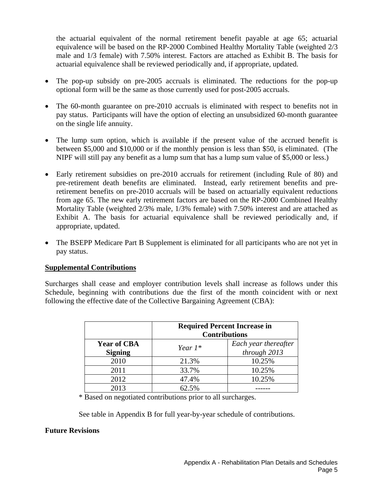the actuarial equivalent of the normal retirement benefit payable at age 65; actuarial equivalence will be based on the RP-2000 Combined Healthy Mortality Table (weighted 2/3 male and 1/3 female) with 7.50% interest. Factors are attached as Exhibit B. The basis for actuarial equivalence shall be reviewed periodically and, if appropriate, updated.

- The pop-up subsidy on pre-2005 accruals is eliminated. The reductions for the pop-up optional form will be the same as those currently used for post-2005 accruals.
- The 60-month guarantee on pre-2010 accruals is eliminated with respect to benefits not in pay status. Participants will have the option of electing an unsubsidized 60-month guarantee on the single life annuity.
- The lump sum option, which is available if the present value of the accrued benefit is between \$5,000 and \$10,000 or if the monthly pension is less than \$50, is eliminated. (The NIPF will still pay any benefit as a lump sum that has a lump sum value of \$5,000 or less.)
- Early retirement subsidies on pre-2010 accruals for retirement (including Rule of 80) and pre-retirement death benefits are eliminated. Instead, early retirement benefits and preretirement benefits on pre-2010 accruals will be based on actuarially equivalent reductions from age 65. The new early retirement factors are based on the RP-2000 Combined Healthy Mortality Table (weighted 2/3% male, 1/3% female) with 7.50% interest and are attached as Exhibit A. The basis for actuarial equivalence shall be reviewed periodically and, if appropriate, updated.
- The BSEPP Medicare Part B Supplement is eliminated for all participants who are not yet in pay status.

#### **Supplemental Contributions**

Surcharges shall cease and employer contribution levels shall increase as follows under this Schedule, beginning with contributions due the first of the month coincident with or next following the effective date of the Collective Bargaining Agreement (CBA):

|                                      | <b>Required Percent Increase in</b><br><b>Contributions</b> |                                      |  |
|--------------------------------------|-------------------------------------------------------------|--------------------------------------|--|
| <b>Year of CBA</b><br><b>Signing</b> | Year $1^*$                                                  | Each year thereafter<br>through 2013 |  |
| 2010                                 | 21.3%                                                       | 10.25%                               |  |
| 2011                                 | 33.7%                                                       | 10.25%                               |  |
| 2012                                 | 47.4%                                                       | 10.25%                               |  |
| 2013                                 | 62.5%                                                       |                                      |  |

\* Based on negotiated contributions prior to all surcharges.

See table in Appendix B for full year-by-year schedule of contributions.

#### **Future Revisions**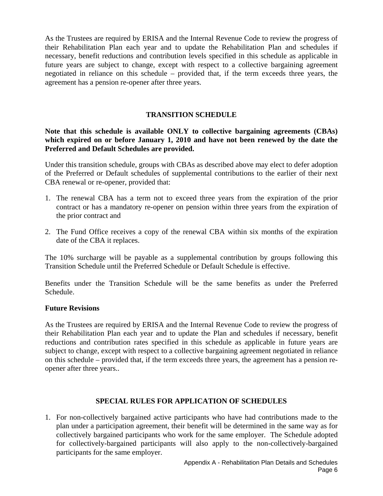As the Trustees are required by ERISA and the Internal Revenue Code to review the progress of their Rehabilitation Plan each year and to update the Rehabilitation Plan and schedules if necessary, benefit reductions and contribution levels specified in this schedule as applicable in future years are subject to change, except with respect to a collective bargaining agreement negotiated in reliance on this schedule – provided that, if the term exceeds three years, the agreement has a pension re-opener after three years.

### **TRANSITION SCHEDULE**

**Note that this schedule is available ONLY to collective bargaining agreements (CBAs) which expired on or before January 1, 2010 and have not been renewed by the date the Preferred and Default Schedules are provided.** 

Under this transition schedule, groups with CBAs as described above may elect to defer adoption of the Preferred or Default schedules of supplemental contributions to the earlier of their next CBA renewal or re-opener, provided that:

- 1. The renewal CBA has a term not to exceed three years from the expiration of the prior contract or has a mandatory re-opener on pension within three years from the expiration of the prior contract and
- 2. The Fund Office receives a copy of the renewal CBA within six months of the expiration date of the CBA it replaces.

The 10% surcharge will be payable as a supplemental contribution by groups following this Transition Schedule until the Preferred Schedule or Default Schedule is effective.

Benefits under the Transition Schedule will be the same benefits as under the Preferred Schedule.

#### **Future Revisions**

As the Trustees are required by ERISA and the Internal Revenue Code to review the progress of their Rehabilitation Plan each year and to update the Plan and schedules if necessary, benefit reductions and contribution rates specified in this schedule as applicable in future years are subject to change, except with respect to a collective bargaining agreement negotiated in reliance on this schedule – provided that, if the term exceeds three years, the agreement has a pension reopener after three years..

#### **SPECIAL RULES FOR APPLICATION OF SCHEDULES**

1. For non-collectively bargained active participants who have had contributions made to the plan under a participation agreement, their benefit will be determined in the same way as for collectively bargained participants who work for the same employer. The Schedule adopted for collectively-bargained participants will also apply to the non-collectively-bargained participants for the same employer.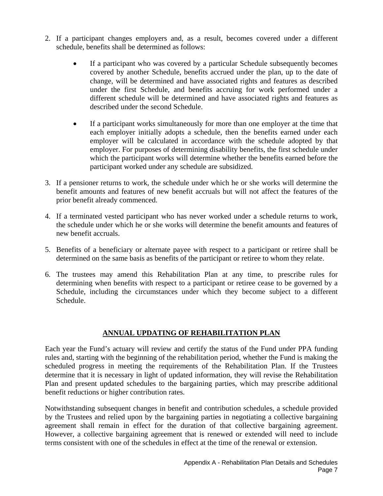- 2. If a participant changes employers and, as a result, becomes covered under a different schedule, benefits shall be determined as follows:
	- If a participant who was covered by a particular Schedule subsequently becomes covered by another Schedule, benefits accrued under the plan, up to the date of change, will be determined and have associated rights and features as described under the first Schedule, and benefits accruing for work performed under a different schedule will be determined and have associated rights and features as described under the second Schedule.
	- If a participant works simultaneously for more than one employer at the time that each employer initially adopts a schedule, then the benefits earned under each employer will be calculated in accordance with the schedule adopted by that employer. For purposes of determining disability benefits, the first schedule under which the participant works will determine whether the benefits earned before the participant worked under any schedule are subsidized.
- 3. If a pensioner returns to work, the schedule under which he or she works will determine the benefit amounts and features of new benefit accruals but will not affect the features of the prior benefit already commenced.
- 4. If a terminated vested participant who has never worked under a schedule returns to work, the schedule under which he or she works will determine the benefit amounts and features of new benefit accruals.
- 5. Benefits of a beneficiary or alternate payee with respect to a participant or retiree shall be determined on the same basis as benefits of the participant or retiree to whom they relate.
- 6. The trustees may amend this Rehabilitation Plan at any time, to prescribe rules for determining when benefits with respect to a participant or retiree cease to be governed by a Schedule, including the circumstances under which they become subject to a different Schedule.

#### **ANNUAL UPDATING OF REHABILITATION PLAN**

Each year the Fund's actuary will review and certify the status of the Fund under PPA funding rules and, starting with the beginning of the rehabilitation period, whether the Fund is making the scheduled progress in meeting the requirements of the Rehabilitation Plan. If the Trustees determine that it is necessary in light of updated information, they will revise the Rehabilitation Plan and present updated schedules to the bargaining parties, which may prescribe additional benefit reductions or higher contribution rates.

Notwithstanding subsequent changes in benefit and contribution schedules, a schedule provided by the Trustees and relied upon by the bargaining parties in negotiating a collective bargaining agreement shall remain in effect for the duration of that collective bargaining agreement. However, a collective bargaining agreement that is renewed or extended will need to include terms consistent with one of the schedules in effect at the time of the renewal or extension.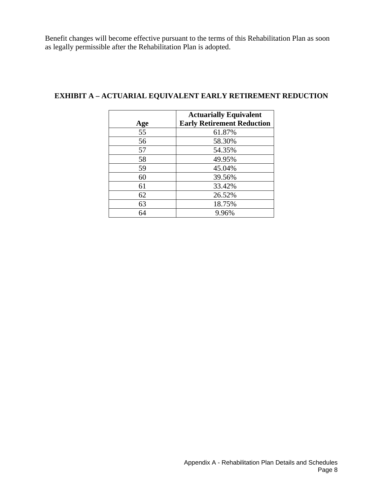Benefit changes will become effective pursuant to the terms of this Rehabilitation Plan as soon as legally permissible after the Rehabilitation Plan is adopted.

| Age | <b>Actuarially Equivalent</b><br><b>Early Retirement Reduction</b> |
|-----|--------------------------------------------------------------------|
| 55  | 61.87%                                                             |
| 56  | 58.30%                                                             |
| 57  | 54.35%                                                             |
| 58  | 49.95%                                                             |
| 59  | 45.04%                                                             |
| 60  | 39.56%                                                             |
| 61  | 33.42%                                                             |
| 62  | 26.52%                                                             |
| 63  | 18.75%                                                             |
| 64  | 9.96%                                                              |

### **EXHIBIT A – ACTUARIAL EQUIVALENT EARLY RETIREMENT REDUCTION**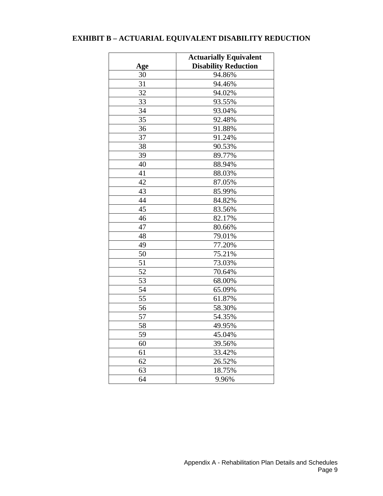## **EXHIBIT B – ACTUARIAL EQUIVALENT DISABILITY REDUCTION**

|     | <b>Actuarially Equivalent</b> |  |  |
|-----|-------------------------------|--|--|
| Age | <b>Disability Reduction</b>   |  |  |
| 30  | 94.86%                        |  |  |
| 31  | 94.46%                        |  |  |
| 32  | 94.02%                        |  |  |
| 33  | 93.55%                        |  |  |
| 34  | 93.04%                        |  |  |
| 35  | 92.48%                        |  |  |
| 36  | 91.88%                        |  |  |
| 37  | 91.24%                        |  |  |
| 38  | 90.53%                        |  |  |
| 39  | 89.77%                        |  |  |
| 40  | 88.94%                        |  |  |
| 41  | 88.03%                        |  |  |
| 42  | 87.05%                        |  |  |
| 43  | 85.99%                        |  |  |
| 44  | 84.82%                        |  |  |
| 45  | 83.56%                        |  |  |
| 46  | 82.17%                        |  |  |
| 47  | 80.66%                        |  |  |
| 48  | 79.01%                        |  |  |
| 49  | 77.20%                        |  |  |
| 50  | 75.21%                        |  |  |
| 51  | 73.03%                        |  |  |
| 52  | 70.64%                        |  |  |
| 53  | 68.00%                        |  |  |
| 54  | 65.09%                        |  |  |
| 55  | 61.87%                        |  |  |
| 56  | 58.30%                        |  |  |
| 57  | 54.35%                        |  |  |
| 58  | 49.95%                        |  |  |
| 59  | 45.04%                        |  |  |
| 60  | 39.56%                        |  |  |
| 61  | 33.42%                        |  |  |
| 62  | 26.52%                        |  |  |
| 63  | 18.75%                        |  |  |
| 64  | 9.96%                         |  |  |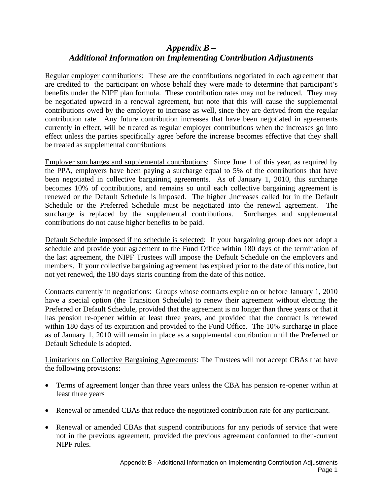## *Appendix B – Additional Information on Implementing Contribution Adjustments*

Regular employer contributions: These are the contributions negotiated in each agreement that are credited to the participant on whose behalf they were made to determine that participant's benefits under the NIPF plan formula. These contribution rates may not be reduced. They may be negotiated upward in a renewal agreement, but note that this will cause the supplemental contributions owed by the employer to increase as well, since they are derived from the regular contribution rate. Any future contribution increases that have been negotiated in agreements currently in effect, will be treated as regular employer contributions when the increases go into effect unless the parties specifically agree before the increase becomes effective that they shall be treated as supplemental contributions

Employer surcharges and supplemental contributions: Since June 1 of this year, as required by the PPA, employers have been paying a surcharge equal to 5% of the contributions that have been negotiated in collective bargaining agreements. As of January 1, 2010, this surcharge becomes 10% of contributions, and remains so until each collective bargaining agreement is renewed or the Default Schedule is imposed. The higher ,increases called for in the Default Schedule or the Preferred Schedule must be negotiated into the renewal agreement. The surcharge is replaced by the supplemental contributions. Surcharges and supplemental contributions do not cause higher benefits to be paid.

Default Schedule imposed if no schedule is selected: If your bargaining group does not adopt a schedule and provide your agreement to the Fund Office within 180 days of the termination of the last agreement, the NIPF Trustees will impose the Default Schedule on the employers and members. If your collective bargaining agreement has expired prior to the date of this notice, but not yet renewed, the 180 days starts counting from the date of this notice.

Contracts currently in negotiations: Groups whose contracts expire on or before January 1, 2010 have a special option (the Transition Schedule) to renew their agreement without electing the Preferred or Default Schedule, provided that the agreement is no longer than three years or that it has pension re-opener within at least three years, and provided that the contract is renewed within 180 days of its expiration and provided to the Fund Office. The 10% surcharge in place as of January 1, 2010 will remain in place as a supplemental contribution until the Preferred or Default Schedule is adopted.

Limitations on Collective Bargaining Agreements: The Trustees will not accept CBAs that have the following provisions:

- Terms of agreement longer than three years unless the CBA has pension re-opener within at least three years
- Renewal or amended CBAs that reduce the negotiated contribution rate for any participant.
- Renewal or amended CBAs that suspend contributions for any periods of service that were not in the previous agreement, provided the previous agreement conformed to then-current NIPF rules.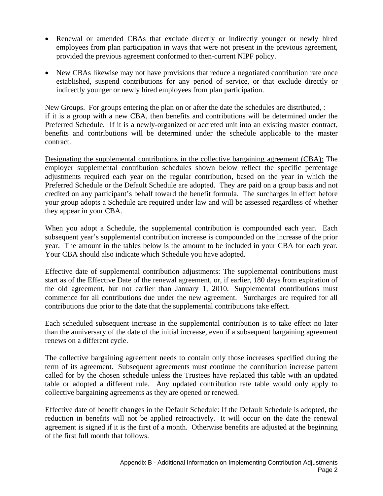- Renewal or amended CBAs that exclude directly or indirectly younger or newly hired employees from plan participation in ways that were not present in the previous agreement, provided the previous agreement conformed to then-current NIPF policy.
- New CBAs likewise may not have provisions that reduce a negotiated contribution rate once established, suspend contributions for any period of service, or that exclude directly or indirectly younger or newly hired employees from plan participation.

New Groups. For groups entering the plan on or after the date the schedules are distributed, : if it is a group with a new CBA, then benefits and contributions will be determined under the Preferred Schedule. If it is a newly-organized or accreted unit into an existing master contract, benefits and contributions will be determined under the schedule applicable to the master contract.

Designating the supplemental contributions in the collective bargaining agreement (CBA): The employer supplemental contribution schedules shown below reflect the specific percentage adjustments required each year on the regular contribution, based on the year in which the Preferred Schedule or the Default Schedule are adopted. They are paid on a group basis and not credited on any participant's behalf toward the benefit formula. The surcharges in effect before your group adopts a Schedule are required under law and will be assessed regardless of whether they appear in your CBA.

When you adopt a Schedule, the supplemental contribution is compounded each year. Each subsequent year's supplemental contribution increase is compounded on the increase of the prior year. The amount in the tables below is the amount to be included in your CBA for each year. Your CBA should also indicate which Schedule you have adopted.

Effective date of supplemental contribution adjustments: The supplemental contributions must start as of the Effective Date of the renewal agreement, or, if earlier, 180 days from expiration of the old agreement, but not earlier than January 1, 2010. Supplemental contributions must commence for all contributions due under the new agreement. Surcharges are required for all contributions due prior to the date that the supplemental contributions take effect.

Each scheduled subsequent increase in the supplemental contribution is to take effect no later than the anniversary of the date of the initial increase, even if a subsequent bargaining agreement renews on a different cycle.

The collective bargaining agreement needs to contain only those increases specified during the term of its agreement. Subsequent agreements must continue the contribution increase pattern called for by the chosen schedule unless the Trustees have replaced this table with an updated table or adopted a different rule. Any updated contribution rate table would only apply to collective bargaining agreements as they are opened or renewed.

Effective date of benefit changes in the Default Schedule: If the Default Schedule is adopted, the reduction in benefits will not be applied retroactively. It will occur on the date the renewal agreement is signed if it is the first of a month. Otherwise benefits are adjusted at the beginning of the first full month that follows.